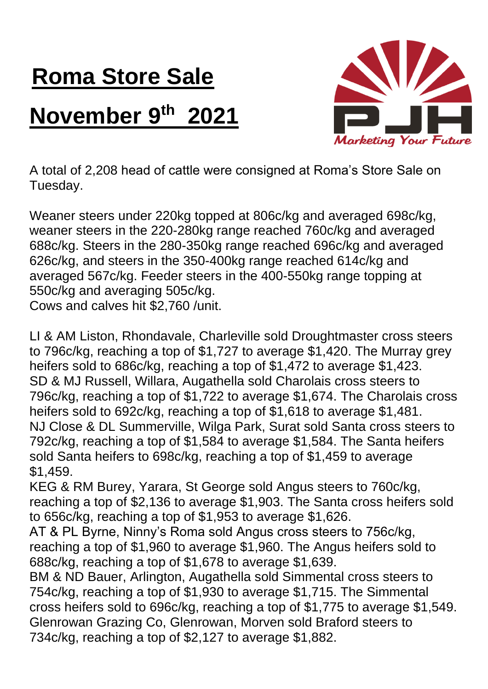## **Roma Store Sale**

## **November 9 th 2021**



A total of 2,208 head of cattle were consigned at Roma's Store Sale on Tuesday.

Weaner steers under 220kg topped at 806c/kg and averaged 698c/kg, weaner steers in the 220-280kg range reached 760c/kg and averaged 688c/kg. Steers in the 280-350kg range reached 696c/kg and averaged 626c/kg, and steers in the 350-400kg range reached 614c/kg and averaged 567c/kg. Feeder steers in the 400-550kg range topping at 550c/kg and averaging 505c/kg.

Cows and calves hit \$2,760 /unit.

LI & AM Liston, Rhondavale, Charleville sold Droughtmaster cross steers to 796c/kg, reaching a top of \$1,727 to average \$1,420. The Murray grey heifers sold to 686c/kg, reaching a top of \$1,472 to average \$1,423. SD & MJ Russell, Willara, Augathella sold Charolais cross steers to 796c/kg, reaching a top of \$1,722 to average \$1,674. The Charolais cross heifers sold to 692c/kg, reaching a top of \$1,618 to average \$1,481. NJ Close & DL Summerville, Wilga Park, Surat sold Santa cross steers to 792c/kg, reaching a top of \$1,584 to average \$1,584. The Santa heifers sold Santa heifers to 698c/kg, reaching a top of \$1,459 to average \$1,459.

KEG & RM Burey, Yarara, St George sold Angus steers to 760c/kg, reaching a top of \$2,136 to average \$1,903. The Santa cross heifers sold to 656c/kg, reaching a top of \$1,953 to average \$1,626.

AT & PL Byrne, Ninny's Roma sold Angus cross steers to 756c/kg, reaching a top of \$1,960 to average \$1,960. The Angus heifers sold to 688c/kg, reaching a top of \$1,678 to average \$1,639.

BM & ND Bauer, Arlington, Augathella sold Simmental cross steers to 754c/kg, reaching a top of \$1,930 to average \$1,715. The Simmental cross heifers sold to 696c/kg, reaching a top of \$1,775 to average \$1,549. Glenrowan Grazing Co, Glenrowan, Morven sold Braford steers to 734c/kg, reaching a top of \$2,127 to average \$1,882.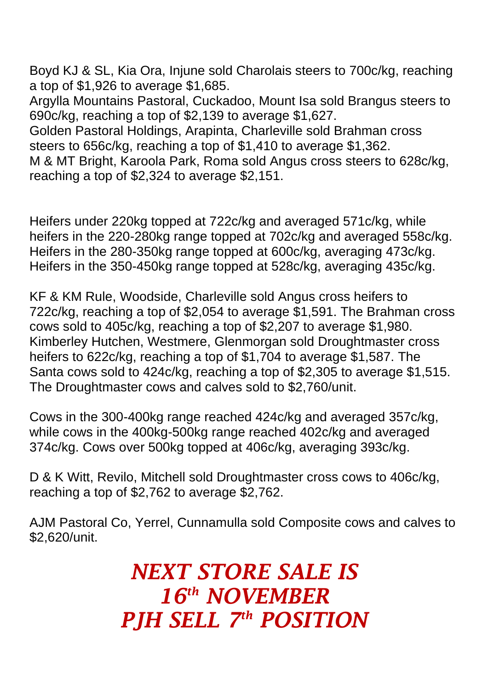Boyd KJ & SL, Kia Ora, Injune sold Charolais steers to 700c/kg, reaching a top of \$1,926 to average \$1,685.

Argylla Mountains Pastoral, Cuckadoo, Mount Isa sold Brangus steers to 690c/kg, reaching a top of \$2,139 to average \$1,627.

Golden Pastoral Holdings, Arapinta, Charleville sold Brahman cross steers to 656c/kg, reaching a top of \$1,410 to average \$1,362.

M & MT Bright, Karoola Park, Roma sold Angus cross steers to 628c/kg, reaching a top of \$2,324 to average \$2,151.

Heifers under 220kg topped at 722c/kg and averaged 571c/kg, while heifers in the 220-280kg range topped at 702c/kg and averaged 558c/kg. Heifers in the 280-350kg range topped at 600c/kg, averaging 473c/kg. Heifers in the 350-450kg range topped at 528c/kg, averaging 435c/kg.

KF & KM Rule, Woodside, Charleville sold Angus cross heifers to 722c/kg, reaching a top of \$2,054 to average \$1,591. The Brahman cross cows sold to 405c/kg, reaching a top of \$2,207 to average \$1,980. Kimberley Hutchen, Westmere, Glenmorgan sold Droughtmaster cross heifers to 622c/kg, reaching a top of \$1,704 to average \$1,587. The Santa cows sold to 424c/kg, reaching a top of \$2,305 to average \$1,515. The Droughtmaster cows and calves sold to \$2,760/unit.

Cows in the 300-400kg range reached 424c/kg and averaged 357c/kg, while cows in the 400kg-500kg range reached 402c/kg and averaged 374c/kg. Cows over 500kg topped at 406c/kg, averaging 393c/kg.

D & K Witt, Revilo, Mitchell sold Droughtmaster cross cows to 406c/kg, reaching a top of \$2,762 to average \$2,762.

AJM Pastoral Co, Yerrel, Cunnamulla sold Composite cows and calves to \$2,620/unit.

> *NEXT STORE SALE IS 16th NOVEMBER PJH SELL 7 th POSITION*